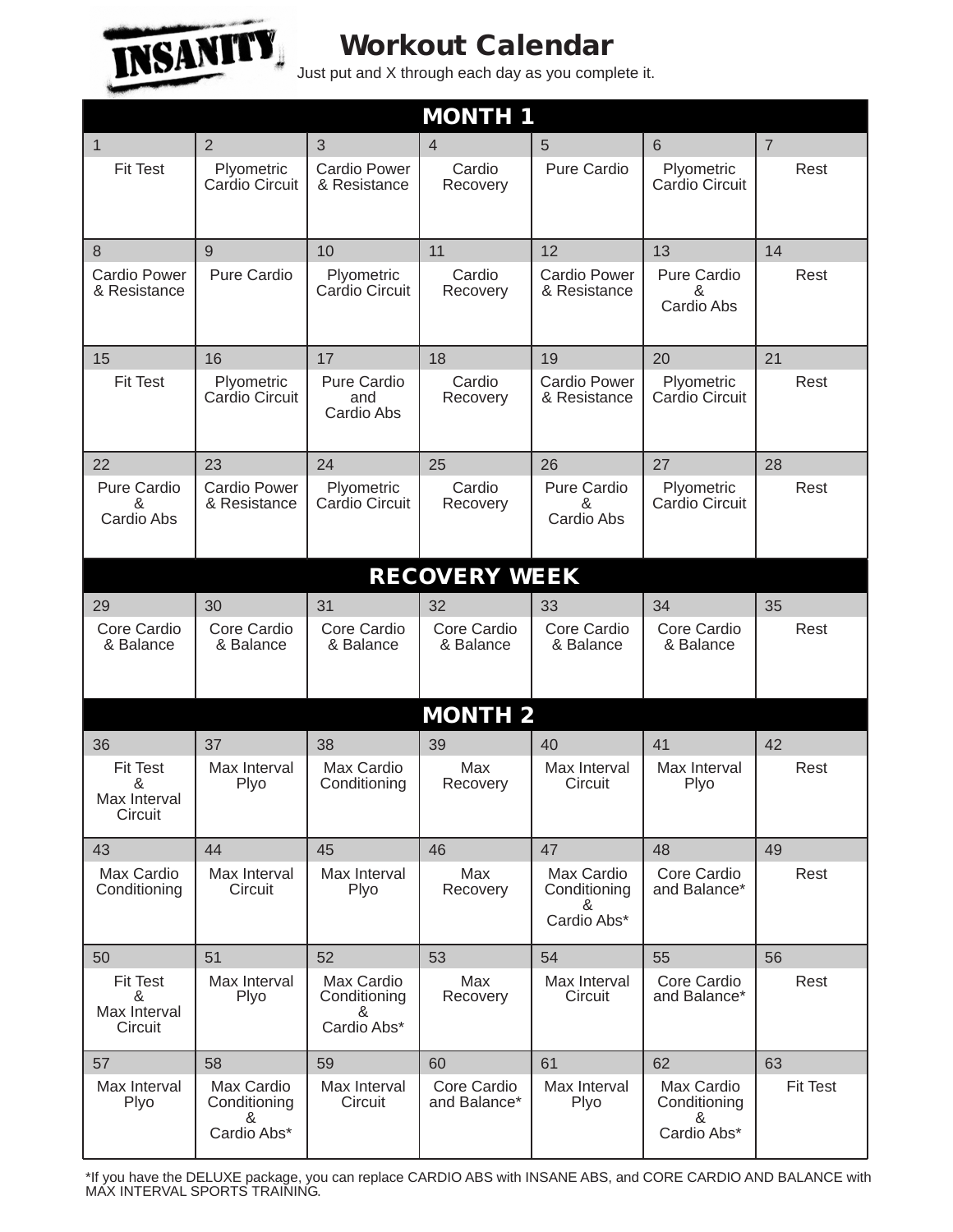

## **Workout Calendar**

Just put and X through each day as you complete it.

| <b>MONTH 1</b>                                  |                                                |                                                |                             |                                                |                                                |                 |  |  |  |  |
|-------------------------------------------------|------------------------------------------------|------------------------------------------------|-----------------------------|------------------------------------------------|------------------------------------------------|-----------------|--|--|--|--|
| 1                                               | $\overline{2}$                                 | 3                                              | 4                           | 5                                              | $6\phantom{1}6$                                | $\overline{7}$  |  |  |  |  |
| <b>Fit Test</b>                                 | Plyometric<br>Cardio Circuit                   | <b>Cardio Power</b><br>& Resistance            | Cardio<br>Recovery          | Pure Cardio                                    | Plyometric<br>Cardio Circuit                   | Rest            |  |  |  |  |
| 8                                               | 9                                              | 10                                             | 11                          | 12                                             | 13                                             | 14              |  |  |  |  |
| <b>Cardio Power</b><br>& Resistance             | Pure Cardio                                    | Plyometric<br>Cardio Circuit                   | Cardio<br>Recovery          | <b>Cardio Power</b><br>& Resistance            | <b>Pure Cardio</b><br>&<br>Cardio Abs          | Rest            |  |  |  |  |
| 15                                              | 16                                             | 17                                             | 18                          | 19                                             | 20                                             | 21              |  |  |  |  |
| <b>Fit Test</b>                                 | Plyometric<br>Cardio Circuit                   | Pure Cardio<br>and<br>Cardio Abs               | Cardio<br>Recovery          | <b>Cardio Power</b><br>& Resistance            | Plyometric<br>Cardio Circuit                   | Rest            |  |  |  |  |
| 22                                              | 23                                             | 24                                             | 25                          | 26                                             | 27                                             | 28              |  |  |  |  |
| Pure Cardio<br>&<br>Cardio Abs                  | <b>Cardio Power</b><br>& Resistance            | Plyometric<br>Cardio Circuit                   | Cardio<br>Recovery          | Pure Cardio<br>&<br>Cardio Abs                 | Plyometric<br>Cardio Circuit                   | Rest            |  |  |  |  |
| <b>RECOVERY WEEK</b>                            |                                                |                                                |                             |                                                |                                                |                 |  |  |  |  |
| 29                                              | 30                                             | 31                                             | 32                          | 33                                             | 34                                             | 35              |  |  |  |  |
| Core Cardio<br>& Balance                        | Core Cardio<br>& Balance                       | Core Cardio<br>& Balance                       | Core Cardio<br>& Balance    | Core Cardio<br>& Balance                       | Core Cardio<br>& Balance                       | Rest            |  |  |  |  |
| <b>MONTH 2</b>                                  |                                                |                                                |                             |                                                |                                                |                 |  |  |  |  |
| 36                                              | 37                                             | 38                                             | 39                          | 40                                             | 41                                             | 42              |  |  |  |  |
| <b>Fit Test</b><br>&<br>Max Interval<br>Circuit | Max Interval<br>Plyo                           | Max Cardio<br>Conditioning                     | Max<br>Recovery             | Max Interval<br>Circuit                        | Max Interval<br>Plyo                           | Rest            |  |  |  |  |
| 43                                              | 44                                             | 45                                             | 46                          | 47                                             | 48                                             | 49              |  |  |  |  |
| Max Cardio<br>Conditioning                      | Max Interval<br>Circuit                        | Max Interval<br>Plyo                           | Max<br>Recovery             | Max Cardio<br>Conditioning<br>&<br>Cardio Abs* | Core Cardio<br>and Balance*                    | Rest            |  |  |  |  |
| 50                                              | 51                                             | 52                                             | 53                          | 54                                             | 55                                             | 56              |  |  |  |  |
| <b>Fit Test</b><br>&<br>Max Interval<br>Circuit | Max Interval<br>Plyo                           | Max Cardio<br>Conditioning<br>&<br>Cardio Abs* | Max<br>Recovery             | Max Interval<br>Circuit                        | Core Cardio<br>and Balance*                    | Rest            |  |  |  |  |
| 57                                              | 58                                             | 59                                             | 60                          | 61                                             | 62                                             | 63              |  |  |  |  |
| Max Interval<br>Plyo                            | Max Cardio<br>Conditioning<br>&<br>Cardio Abs* | Max Interval<br>Circuit                        | Core Cardio<br>and Balance* | Max Interval<br>Plyo                           | Max Cardio<br>Conditioning<br>&<br>Cardio Abs* | <b>Fit Test</b> |  |  |  |  |